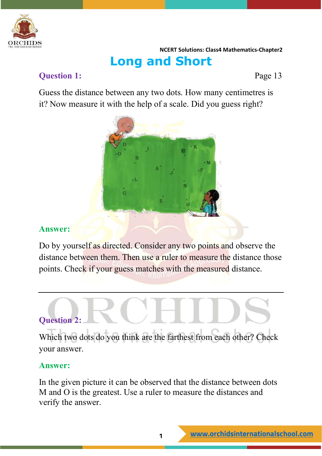

### **Long and Short**

#### **Question 1:** Page 13

Guess the distance between any two dots. How many centimetres is it? Now measure it with the help of a scale. Did you guess right?



#### **Answer:**

Do by yourself as directed. Consider any two points and observe the distance between them. Then use a ruler to measure the distance those points. Check if your guess matches with the measured distance.

#### **Question 2:**

Which two dots do you think are the farthest from each other? Check your answer.

#### **Answer:**

In the given picture it can be observed that the distance between dots M and O is the greatest. Use a ruler to measure the distances and verify the answer.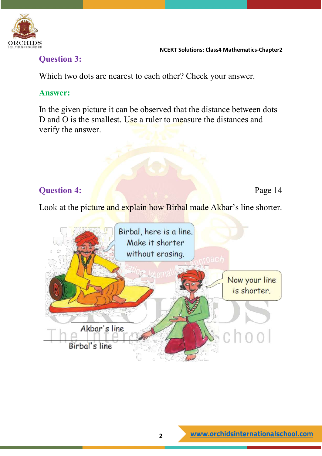

#### **Question 3:**

Which two dots are nearest to each other? Check your answer.

#### **Answer:**

In the given picture it can be observed that the distance between dots D and O is the smallest. Use a ruler to measure the distances and verify the answer.

#### **Question 4:** Page 14

Look at the picture and explain how Birbal made Akbar's line shorter.

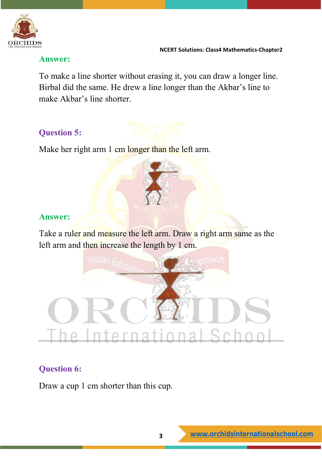

#### **Answer:**

To make a line shorter without erasing it, you can draw a longer line. Birbal did the same. He drew a line longer than the Akbar's line to make Akbar's line shorter.

#### **Question 5:**

Make her right arm 1 cm longer than the left arm.

#### **Answer:**

Take a ruler and measure the left arm. Draw a right arm same as the left arm and then increase the length by 1 cm.



#### **Question 6:**

Draw a cup 1 cm shorter than this cup.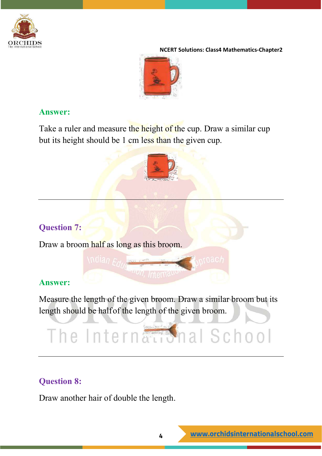



#### **Answer:**

Take a ruler and measure the height of the cup. Draw a similar cup but its height should be 1 cm less than the given cup.



#### **Question 7:**

Draw a broom half as long as this broom.

\ndian Educe

#### **Answer:**

Measure the length of the given broom. Draw a similar broom but its length should be halfof the length of the given broom.

*<u>Andr</u>, Internally</u>* 

# The International School

#### **Question 8:**

Draw another hair of double the length.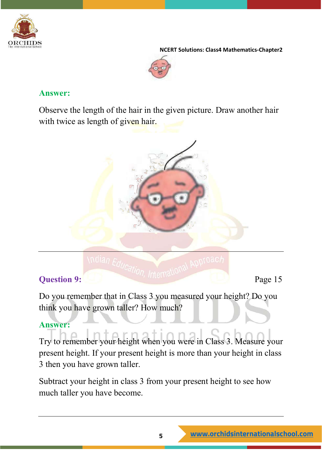



#### **Answer:**

Observe the length of the hair in the given picture. Draw another hair with twice as length of given hair.



#### **Question 9:** Page 15

Do you remember that in Class 3 you measured your height? Do you think you have grown taller? How much?

#### **Answer:**

Try to remember your height when you were in Class 3. Measure your present height. If your present height is more than your height in class 3 then you have grown taller.

Subtract your height in class 3 from your present height to see how much taller you have become.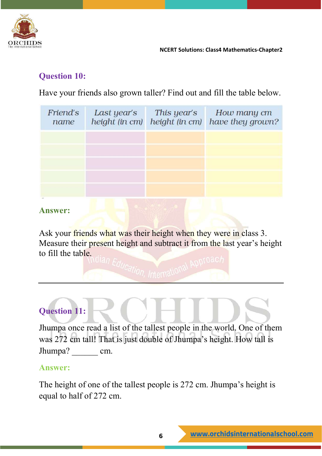

#### **Question 10:**

Have your friends also grown taller? Find out and fill the table below.

| Last year's<br>height (in cm) | This year's<br>height (in cm) | How many cm<br>have they grown? |
|-------------------------------|-------------------------------|---------------------------------|
|                               |                               |                                 |
|                               |                               |                                 |
|                               |                               |                                 |
|                               |                               |                                 |
|                               |                               |                                 |

#### **Answer:**

Ask your friends what was their height when they were in class 3. Measure their present height and subtract it from the last year's height to fill the table.

### **Question 11:**

Jhumpa once read a list of the tallest people in the world. One of them was 272 cm tall! That is just double of Jhumpa's height. How tall is Jhumpa? cm.

#### **Answer:**

The height of one of the tallest people is 272 cm. Jhumpa's height is equal to half of 272 cm.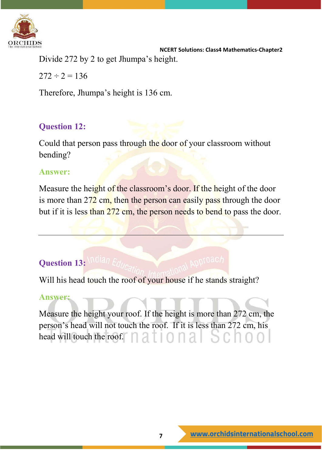

 **NCERT Solutions: Class4 Mathematics-Chapter2** Divide 272 by 2 to get Jhumpa's height.

 $272 \div 2 = 136$ 

Therefore, Jhumpa's height is 136 cm.

#### **Question 12:**

Could that person pass through the door of your classroom without bending?

#### **Answer:**

Measure the height of the classroom's door. If the height of the door is more than 272 cm, then the person can easily pass through the door but if it is less than 272 cm, the person needs to bend to pass the door.

#### **Question 13:**

Will his head touch the roof of your house if he stands straight?

#### **Answer:**

Measure the height your roof. If the height is more than 272 cm, the person's head will not touch the roof. If it is less than 272 cm, his head will touch the roof. **ALL COLL ALL READER**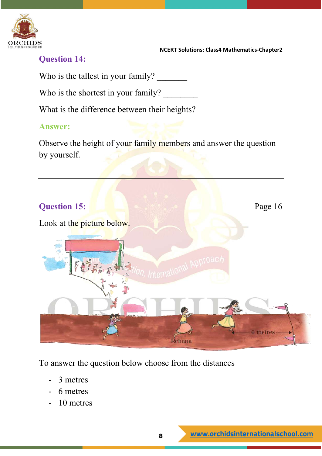

#### **Question 14:**

Who is the tallest in your family?

Who is the shortest in your family?

What is the difference between their heights?

#### **Answer:**

Observe the height of your family members and answer the question by yourself.



To answer the question below choose from the distances

- 3 metres
- 6 metres
- 10 metres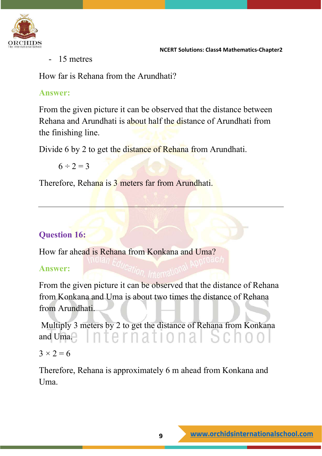

- 15 metres

How far is Rehana from the Arundhati?

#### **Answer:**

From the given picture it can be observed that the distance between Rehana and Arundhati is about half the distance of Arundhati from the finishing line.

Divide 6 by 2 to get the distance of Rehana from Arundhati.

 $6 \div 2 = 3$ 

Therefore, Rehana is 3 meters far from Arundhati.

#### **Question 16:**

How far ahead is Rehana from Konkana and Uma?

#### **Answer:**

From the given picture it can be observed that the distance of Rehana from Konkana and Uma is about two times the distance of Rehana from Arundhati.

Multiply 3 meters by 2 to get the distance of Rehana from Konkana International Schoo and Uma.

 $3 \times 2 = 6$ 

Therefore, Rehana is approximately 6 m ahead from Konkana and Uma.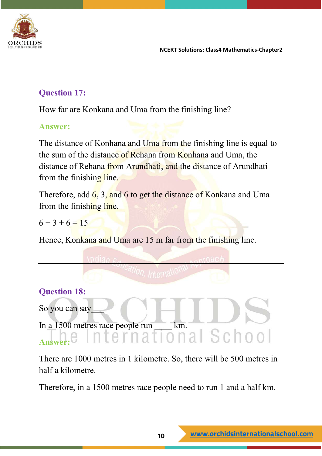

#### **Question 17:**

How far are Konkana and Uma from the finishing line?

#### **Answer:**

The distance of Konhana and Uma from the finishing line is equal to the sum of the distance of Rehana from Konhana and Uma, the distance of Rehana from Arundhati, and the distance of Arundhati from the finishing line.

Therefore, add 6, 3, and 6 to get the distance of Konkana and Uma from the finishing line.

 $6 + 3 + 6 = 15$ 

Hence, Konkana and Uma are 15 m far from the finishing line.

#### **Question 18:**

So you can say

In a 1500 metres race people run km.<br>Answer:

#### **Answer:**

There are 1000 metres in 1 kilometre. So, there will be 500 metres in half a kilometre.

Therefore, in a 1500 metres race people need to run 1 and a half km.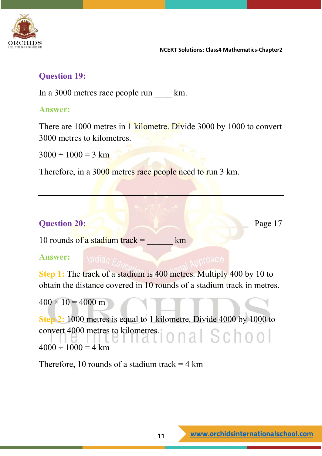

#### **Question 19:**

In a 3000 metres race people run km.

#### **Answer:**

There are 1000 metres in 1 kilometre. Divide 3000 by 1000 to convert 3000 metres to kilometres.

 $3000 \div 1000 = 3$  km

Therefore, in a 3000 metres race people need to run 3 km.

#### **Question 20:** Page 17

10 rounds of a stadium track =  $\mu$  km

#### **Answer:**

**Step 1:** The track of a stadium is 400 metres. Multiply 400 by 10 to obtain the distance covered in 10 rounds of a stadium track in metres.

 $400 \times 10 = 4000$  m

**Step 2:** 1000 metres is equal to 1 kilometre. Divide 4000 by 1000 to convert 4000 metres to kilometres.<br>  $\begin{bmatrix} 0 & 0 & 0 \\ 0 & 0 & 0 \\ 0 & 0 & 0 \end{bmatrix}$  $4000 \div 1000 = 4$  km

Therefore, 10 rounds of a stadium track  $=$  4 km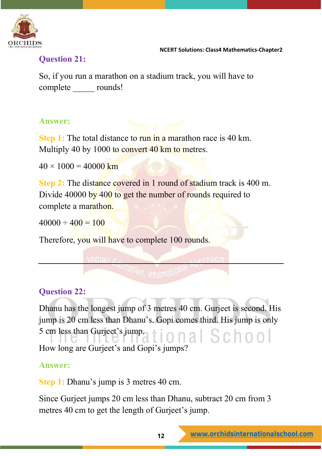

#### **Question 21:**

So, if you run a marathon on a stadium track, you will have to complete rounds!

#### **Answer:**

**Step 1:** The total distance to run in a marathon race is 40 km. Multiply 40 by 1000 to convert 40 km to metres.

 $40 \times 1000 = 40000$  km

**Step 2:** The distance covered in 1 round of stadium track is 400 m. Divide 40000 by 400 to get the number of rounds required to complete a marathon.

 $40000 \div 400 = 100$ 

Therefore, you will have to complete 100 rounds.

#### **Question 22:**

Dhanu has the longest jump of 3 metres 40 cm. Gurjeet is second. His jump is 20 cm less than Dhanu's. Gopi comes third. His jump is only 5 cm less than Gurjeet's jump. onal School How long are Gurjeet's and Gopi's jumps?

#### **Answer:**

**Step 1:** Dhanu's jump is 3 metres 40 cm.

Since Gurjeet jumps 20 cm less than Dhanu, subtract 20 cm from 3 metres 40 cm to get the length of Gurjeet's jump.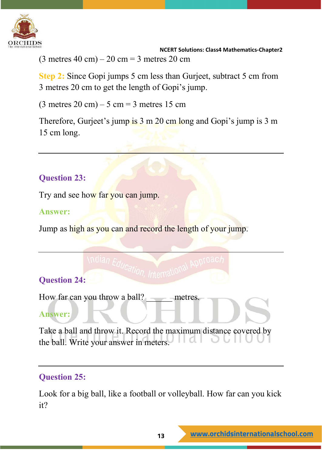

 **NCERT Solutions: Class4 Mathematics-Chapter2**  $(3 \text{ metres } 40 \text{ cm}) - 20 \text{ cm} = 3 \text{ metres } 20 \text{ cm}$ 

**Step 2:** Since Gopi jumps 5 cm less than Gurjeet, subtract 5 cm from 3 metres 20 cm to get the length of Gopi's jump.

 $(3 \text{ metres } 20 \text{ cm}) - 5 \text{ cm} = 3 \text{ metres } 15 \text{ cm}$ 

Therefore, Gurjeet's jump is 3 m 20 cm long and Gopi's jump is 3 m 15 cm long.

#### **Question 23:**

Try and see how far you can jump.

#### **Answer:**

Jump as high as you can and record the length of your jump.

#### **Question 24:**

How far can you throw a ball? \_\_\_\_\_ metres.

#### **Answer:**

Take a ball and throw it. Record the maximum distance covered by the ball. Write your answer in meters.

#### **Question 25:**

Look for a big ball, like a football or volleyball. How far can you kick it?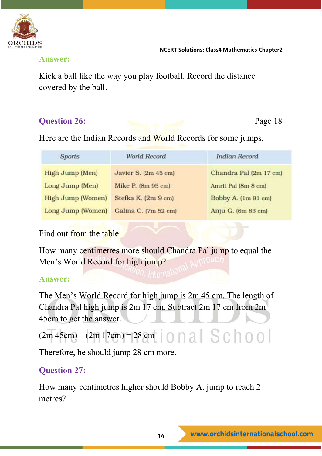

#### **Answer:**

Kick a ball like the way you play football. Record the distance covered by the ball.

#### **Question 26:** Page 18

Here are the Indian Records and World Records for some jumps.

| <b>Sports</b>     | World Record         | <b>Indian Record</b>   |
|-------------------|----------------------|------------------------|
| High Jump (Men)   | Javier S. (2m 45 cm) | Chandra Pal (2m 17 cm) |
| Long Jump (Men)   | Mike P. (8m 95 cm)   | Amrit Pal (8m 8 cm)    |
| High Jump (Women) | Stefka K. (2m 9 cm)  | Bobby A. (1m 91 cm)    |
| Long Jump (Women) | Galina C. (7m 52 cm) | Anju G. (6m 83 cm)     |

Find out from the table:

How many centimetres more should Chandra Pal jump to equal the Men's World Record for high jump?

#### **Answer:**

The Men's World Record for high jump is 2m 45 cm. The length of Chandra Pal high jump is 2m 17 cm. Subtract 2m 17 cm from 2m 45cm to get the answer.

### $(2m 45cm) - (2m 17cm) = 28 cm$  0 1 2 S C 1 0 0

Therefore, he should jump 28 cm more.

#### **Question 27:**

How many centimetres higher should Bobby A. jump to reach 2 metres?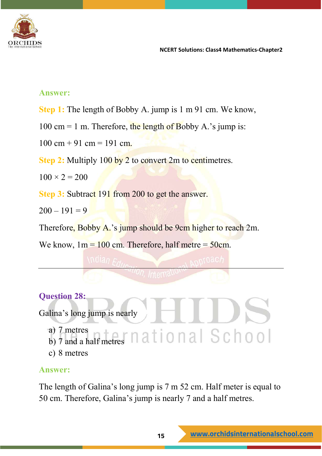

#### **Answer:**

- **Step 1:** The length of Bobby A. jump is 1 m 91 cm. We know,
- $100 \text{ cm} = 1 \text{ m}$ . Therefore, the length of Bobby A.'s jump is:
- $100 \text{ cm} + 91 \text{ cm} = 191 \text{ cm}.$
- **Step 2:** Multiply 100 by 2 to convert 2m to centimetres.
- $100 \times 2 = 200$

**Step 3: Subtract 191 from 200 to get the answer.** 

 $200 - 191 = 9$ 

Therefore, Bobby A.'s jump should be 9cm higher to reach 2m.

We know,  $1m = 100$  cm. Therefore, half metre  $= 50$ cm.

#### **Question 28:**

Galina's long jump is nearly

- a) 7 metres
- b) 7 and a half metres
- c) 8 metres

#### **Answer:**

The length of Galina's long jump is 7 m 52 cm. Half meter is equal to 50 cm. Therefore, Galina's jump is nearly 7 and a half metres.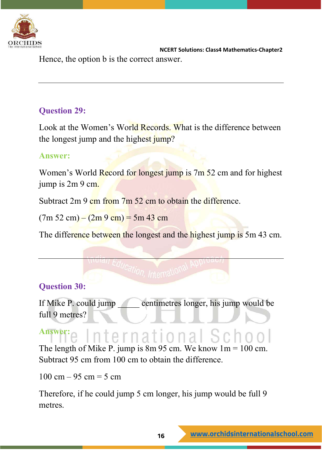

 **NCERT Solutions: Class4 Mathematics-Chapter2** Hence, the option b is the correct answer.

#### **Question 29:**

Look at the Women's World Records. What is the difference between the longest jump and the highest jump?

#### **Answer:**

Women's World Record for longest jump is 7m 52 cm and for highest jump is 2m 9 cm.

Subtract 2m 9 cm from 7m 52 cm to obtain the difference.

 $(7m 52 cm) - (2m 9 cm) = 5m 43 cm$ 

The difference between the longest and the highest jump is 5m 43 cm.

#### **Question 30:**

If Mike P. could jump centimetres longer, his jump would be full 9 metres?

#### **Answer:** International S

The length of Mike P. jump is  $8m 95$  cm. We know  $1m = 100$  cm. Subtract 95 cm from 100 cm to obtain the difference.

 $100 \text{ cm} - 95 \text{ cm} = 5 \text{ cm}$ 

Therefore, if he could jump 5 cm longer, his jump would be full 9 metres.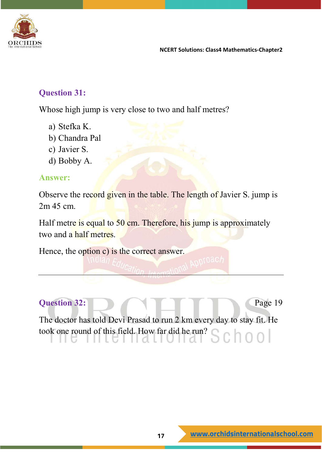

#### **Question 31:**

Whose high jump is very close to two and half metres?

- a) Stefka K.
- b) Chandra Pal
- c) Javier S.
- d) Bobby A.

#### **Answer:**

Observe the record given in the table. The length of Javier S. jump is 2m 45 cm.

Half metre is equal to 50 cm. Therefore, his jump is approximately two and a half metres.

Hence, the option c) is the correct answer.

#### **Question 32:** Page 19

The doctor has told Devi Prasad to run 2 km every day to stay fit. He took one round of this field. How far did he run?school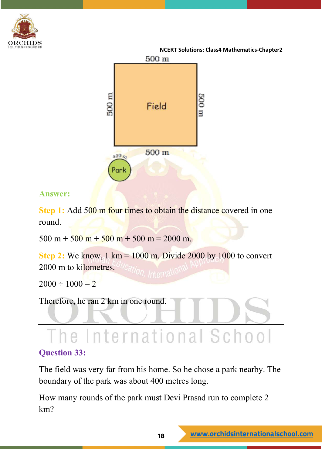



#### **Answer:**

**Step 1:** Add 500 m four times to obtain the distance covered in one round.

 $500 \text{ m} + 500 \text{ m} + 500 \text{ m} + 500 \text{ m} = 2000 \text{ m}.$ 

**Step 2:** We know, 1 km = 1000 m. Divide 2000 by 1000 to convert 2000 m to kilometres.

 $2000 \div 1000 = 2$ 

Therefore, he ran 2 km in one round.

## The International School

#### **Question 33:**

The field was very far from his home. So he chose a park nearby. The boundary of the park was about 400 metres long.

How many rounds of the park must Devi Prasad run to complete 2 km?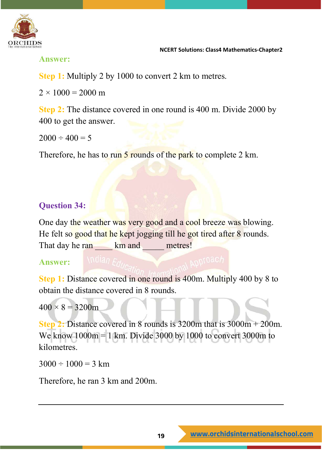

**Answer:**

**Step 1:** Multiply 2 by 1000 to convert 2 km to metres.

 $2 \times 1000 = 2000$  m

**Step 2:** The distance covered in one round is 400 m. Divide 2000 by 400 to get the answer.

 $2000 \div 400 = 5$ 

Therefore, he has to run 5 rounds of the park to complete 2 km.

#### **Question 34:**

One day the weather was very good and a cool breeze was blowing. He felt so good that he kept jogging till he got tired after 8 rounds. That day he ran **km** and metres!

#### **Answer:**

**Step 1:** Distance covered in one round is 400m. Multiply 400 by 8 to obtain the distance covered in 8 rounds.

 $400 \times 8 = 3200$ m

**Step 2:** Distance covered in 8 rounds is 3200m that is 3000m + 200m. We know 1000m = 1 km. Divide 3000 by 1000 to convert 3000m to kilometres.

 $3000 \div 1000 = 3$  km

Therefore, he ran 3 km and 200m.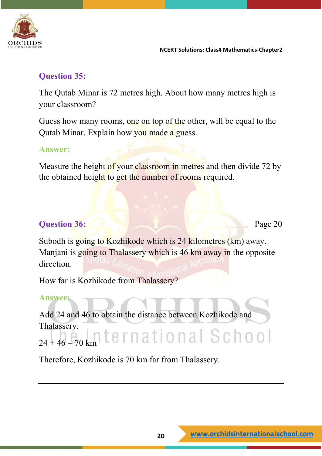

#### **Question 35:**

The Qutab Minar is 72 metres high. About how many metres high is your classroom?

Guess how many rooms, one on top of the other, will be equal to the Qutab Minar. Explain how you made a guess.

#### **Answer:**

Measure the height of your classroom in metres and then divide 72 by the obtained height to get the number of rooms required.

#### **Question 36:** Page 20

Subodh is going to Kozhikode which is 24 kilometres (km) away. Manjani is going to Thalassery which is 46 km away in the opposite direction.

How far is Kozhikode from Thalassery?

#### **Answer:**

Add 24 and 46 to obtain the distance between Kozhikode and Thalassery.  $24 + 46 = 70$  km ternational School

Therefore, Kozhikode is 70 km far from Thalassery.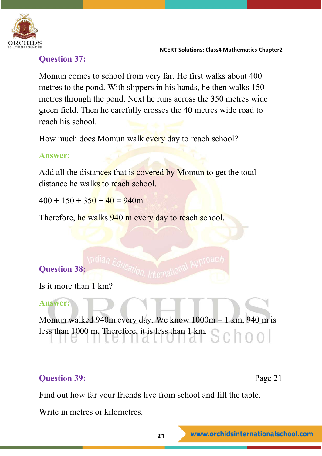

#### **Question 37:**

Momun comes to school from very far. He first walks about 400 metres to the pond. With slippers in his hands, he then walks 150 metres through the pond. Next he runs across the 350 metres wide green field. Then he carefully crosses the 40 metres wide road to reach his school.

How much does Momun walk every day to reach school?

#### **Answer:**

Add all the distances that is covered by Momun to get the total distance he walks to reach school.

 $400 + 150 + 350 + 40 = 940$ m

Therefore, he walks 940 m every day to reach school.

#### **Question 38:**

Is it more than 1 km?

#### **Answer:**

Momun walked 940m every day. We know 1000m = 1 km, 940 m is less than 1000 m. Therefore, it is less than 1 km.

International Approac

#### **Question 39:** Page 21

Find out how far your friends live from school and fill the table.

Write in metres or kilometres.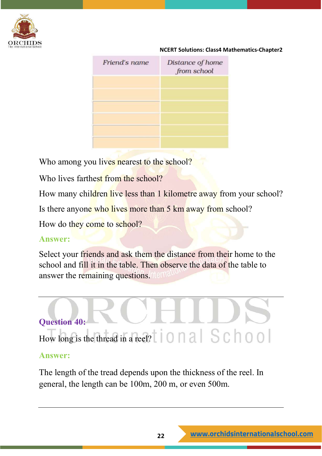

| Friend's name | Distance of home<br>from school |
|---------------|---------------------------------|
|               |                                 |
|               |                                 |
|               |                                 |
|               |                                 |

Who among you lives nearest to the school?

Who lives farthest from the school?

How many children live less than 1 kilometre away from your school?

Is there anyone who lives more than 5 km away from school?

How do they come to school?

#### **Answer:**

Select your friends and ask them the distance from their home to the school and fill it in the table. Then observe the data of the table to answer the remaining questions.

# **Question 40:** How long is the thread in a reel?

#### **Answer:**

The length of the tread depends upon the thickness of the reel. In general, the length can be 100m, 200 m, or even 500m.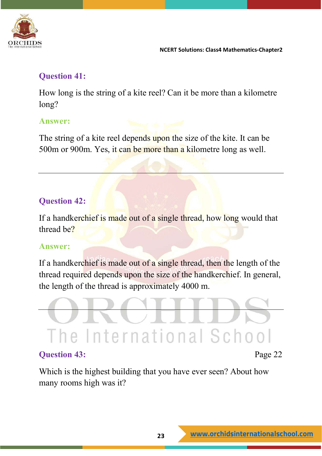

#### **Question 41:**

How long is the string of a kite reel? Can it be more than a kilometre long?

#### **Answer:**

The string of a kite reel depends upon the size of the kite. It can be 500m or 900m. Yes, it can be more than a kilometre long as well.

#### **Question 42:**

If a handkerchief is made out of a single thread, how long would that thread be?

#### **Answer:**

If a handkerchief is made out of a single thread, then the length of the thread required depends upon the size of the handkerchief. In general, the length of the thread is approximately 4000 m.



Which is the highest building that you have ever seen? About how many rooms high was it?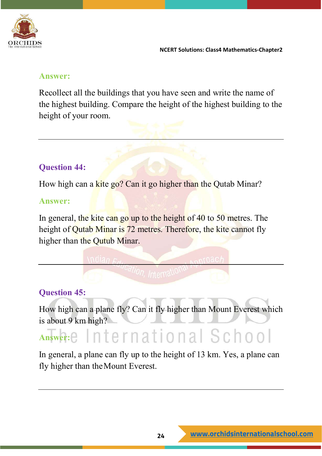

#### **Answer:**

Recollect all the buildings that you have seen and write the name of the highest building. Compare the height of the highest building to the height of your room.

#### **Question 44:**

How high can a kite go? Can it go higher than the Qutab Minar?

#### **Answer:**

In general, the kite can go up to the height of 40 to 50 metres. The height of Qutab Minar is 72 metres. Therefore, the kite cannot fly higher than the Qutub Minar.

**Question 45:**

How high can a plane fly? Can it fly higher than Mount Everest which is about 9 km high?

### Answer: e International School

In general, a plane can fly up to the height of 13 km. Yes, a plane can fly higher than theMount Everest.